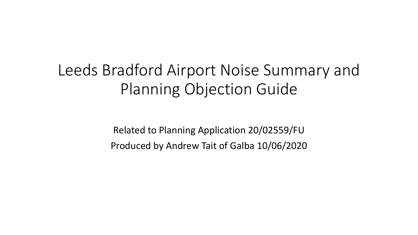# Leeds Bradford Airport Noise Summary and Planning Objection Guide

Related to Planning Application 20/02559/FU Produced by Andrew Tait of Galba 10/06/2020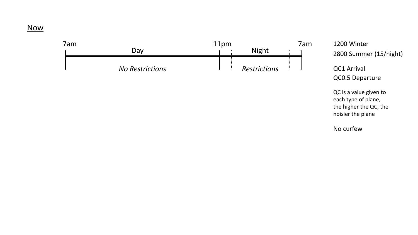### Now



2800 Summer (15/night)

QC1 Arrival QC0.5 Departure

QC is a value given to each type of plane, the higher the QC, the noisier the plane

No curfew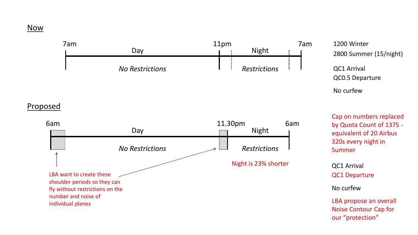### Now

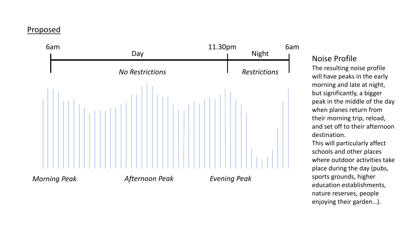## Proposed



## Noise Profile

The resulting noise profile will have peaks in the early morning and late at night, but significantly, a bigger peak in the middle of the day when planes return from their morning trip, reload, and set off to their afternoon destination.

This will particularly affect schools and other places where outdoor activities take place during the day (pubs, sports grounds, higher education establishments, nature reserves, people enjoying their garden…).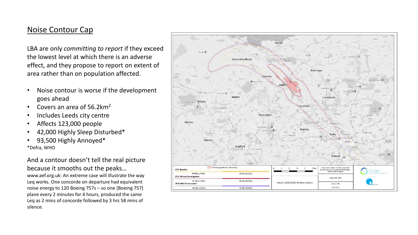### Noise Contour Cap

LBA are only *committing to report* if they exceed the lowest level at which there is an adverse effect, and they propose to report on extent of area rather than on population affected.

- Noise contour is worse if the development goes ahead
- Covers an area of 56.2km2
- Includes Leeds city centre
- Affects 123,000 people
- 42,000 Highly Sleep Disturbed\*
- 93,500 Highly Annoyed\* \*Defra, WHO

### And a contour doesn't tell the real picture because it smooths out the peaks…

www.aef.org.uk: An extreme case will illustrate the way Leq works. One concorde on departure had equivalent noise energy to 120 Boeing 757s – so one [Boeing 757] plane every 2 minutes for 4 hours, produced the same Leq as 2 mins of concorde followed by 3 hrs 58 mins of silence.

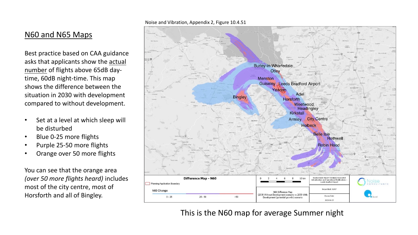### N60 and N65 Maps

Best practice based on CAA guidance asks that applicants show the actual number of flights above 65dB daytime, 60dB night-time. This map shows the difference between the situation in 2030 with development compared to without development.

- Set at a level at which sleep will be disturbed
- Blue 0-25 more flights
- Purple 25-50 more flights
- Orange over 50 more flights

You can see that the orange area *(over 50 more flights heard)* includes most of the city centre, most of Horsforth and all of Bingley.

#### Noise and Vibration, Appendix 2, Figure 10.4.51



This is the N60 map for average Summer night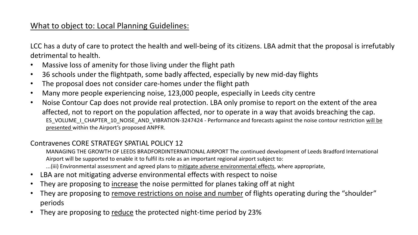# What to object to: Local Planning Guidelines:

LCC has a duty of care to protect the health and well-being of its citizens. LBA admit that the proposal is irrefutably detrimental to health.

- Massive loss of amenity for those living under the flight path
- 36 schools under the flightpath, some badly affected, especially by new mid-day flights
- The proposal does not consider care-homes under the flight path
- Many more people experiencing noise, 123,000 people, especially in Leeds city centre
- Noise Contour Cap does not provide real protection. LBA only promise to report on the extent of the area affected, not to report on the population affected, nor to operate in a way that avoids breaching the cap. ES\_VOLUME\_I\_CHAPTER\_10\_NOISE\_AND\_VIBRATION-3247424 - Performance and forecasts against the noise contour restriction will be presented within the Airport's proposed ANPFR.

### Contravenes CORE STRATEGY SPATIAL POLICY 12

MANAGING THE GROWTH OF LEEDS BRADFORDINTERNATIONAL AIRPORT The continued development of Leeds Bradford International Airport will be supported to enable it to fulfil its role as an important regional airport subject to:

...(iii) Environmental assessment and agreed plans to mitigate adverse environmental effects, where appropriate,

- LBA are not mitigating adverse environmental effects with respect to noise
- They are proposing to increase the noise permitted for planes taking off at night
- They are proposing to remove restrictions on noise and number of flights operating during the "shoulder" periods
- They are proposing to reduce the protected night-time period by 23%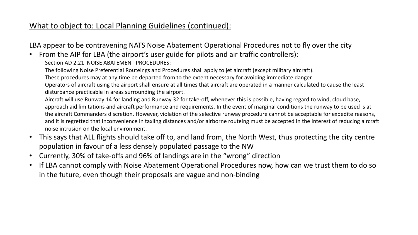# What to object to: Local Planning Guidelines (continued):

LBA appear to be contravening NATS Noise Abatement Operational Procedures not to fly over the city

• From the AIP for LBA (the airport's user guide for pilots and air traffic controllers): Section AD 2.21 NOISE ABATEMENT PROCEDURES:

The following Noise Preferential Routeings and Procedures shall apply to jet aircraft (except military aircraft).

These procedures may at any time be departed from to the extent necessary for avoiding immediate danger.

Operators of aircraft using the airport shall ensure at all times that aircraft are operated in a manner calculated to cause the least disturbance practicable in areas surrounding the airport.

Aircraft will use Runway 14 for landing and Runway 32 for take-off, whenever this is possible, having regard to wind, cloud base, approach aid limitations and aircraft performance and requirements. In the event of marginal conditions the runway to be used is at the aircraft Commanders discretion. However, violation of the selective runway procedure cannot be acceptable for expedite reasons, and it is regretted that inconvenience in taxiing distances and/or airborne routeing must be accepted in the interest of reducing aircraft noise intrusion on the local environment.

- This says that ALL flights should take off to, and land from, the North West, thus protecting the city centre population in favour of a less densely populated passage to the NW
- Currently, 30% of take-offs and 96% of landings are in the "wrong" direction
- If LBA cannot comply with Noise Abatement Operational Procedures now, how can we trust them to do so in the future, even though their proposals are vague and non-binding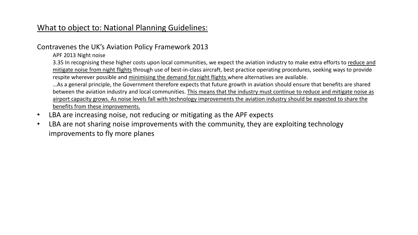# What to object to: National Planning Guidelines:

### Contravenes the UK's Aviation Policy Framework 2013

APF 2013 Night noise

3.35 In recognising these higher costs upon local communities, we expect the aviation industry to make extra efforts to reduce and mitigate noise from night flights through use of best-in-class aircraft, best practice operating procedures, seeking ways to provide respite wherever possible and minimising the demand for night flights where alternatives are available.

…As a general principle, the Government therefore expects that future growth in aviation should ensure that benefits are shared between the aviation industry and local communities. This means that the industry must continue to reduce and mitigate noise as airport capacity grows. As noise levels fall with technology improvements the aviation industry should be expected to share the benefits from these improvements.

- LBA are increasing noise, not reducing or mitigating as the APF expects
- LBA are not sharing noise improvements with the community, they are exploiting technology improvements to fly more planes